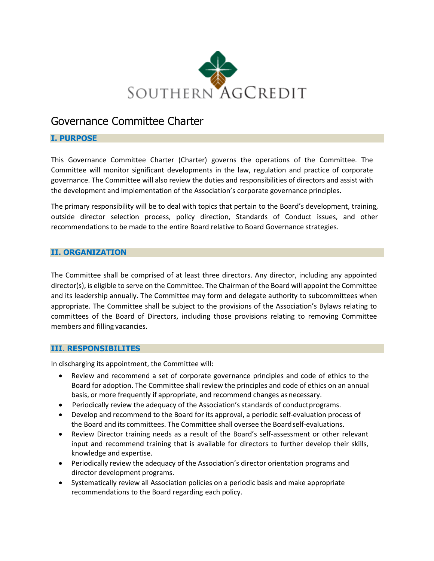

# Governance Committee Charter

# **I. PURPOSE**

This Governance Committee Charter (Charter) governs the operations of the Committee. The Committee will monitor significant developments in the law, regulation and practice of corporate governance. The Committee will also review the duties and responsibilities of directors and assist with the development and implementation of the Association's corporate governance principles.

The primary responsibility will be to deal with topics that pertain to the Board's development, training, outside director selection process, policy direction, Standards of Conduct issues, and other recommendations to be made to the entire Board relative to Board Governance strategies.

# **II. ORGANIZATION**

The Committee shall be comprised of at least three directors. Any director, including any appointed director(s), is eligible to serve on the Committee. The Chairman of the Board will appoint the Committee and its leadership annually. The Committee may form and delegate authority to subcommittees when appropriate. The Committee shall be subject to the provisions of the Association's Bylaws relating to committees of the Board of Directors, including those provisions relating to removing Committee members and filling vacancies.

#### **III. RESPONSIBILITES**

In discharging its appointment, the Committee will:

- Review and recommend a set of corporate governance principles and code of ethics to the Board for adoption. The Committee shall review the principles and code of ethics on an annual basis, or more frequently if appropriate, and recommend changes as necessary.
- Periodically review the adequacy of the Association's standards of conductprograms.
- Develop and recommend to the Board for its approval, a periodic self-evaluation process of the Board and its committees. The Committee shall oversee the Boardself-evaluations.
- Review Director training needs as a result of the Board's self-assessment or other relevant input and recommend training that is available for directors to further develop their skills, knowledge and expertise.
- Periodically review the adequacy of the Association's director orientation programs and director development programs.
- Systematically review all Association policies on a periodic basis and make appropriate recommendations to the Board regarding each policy.